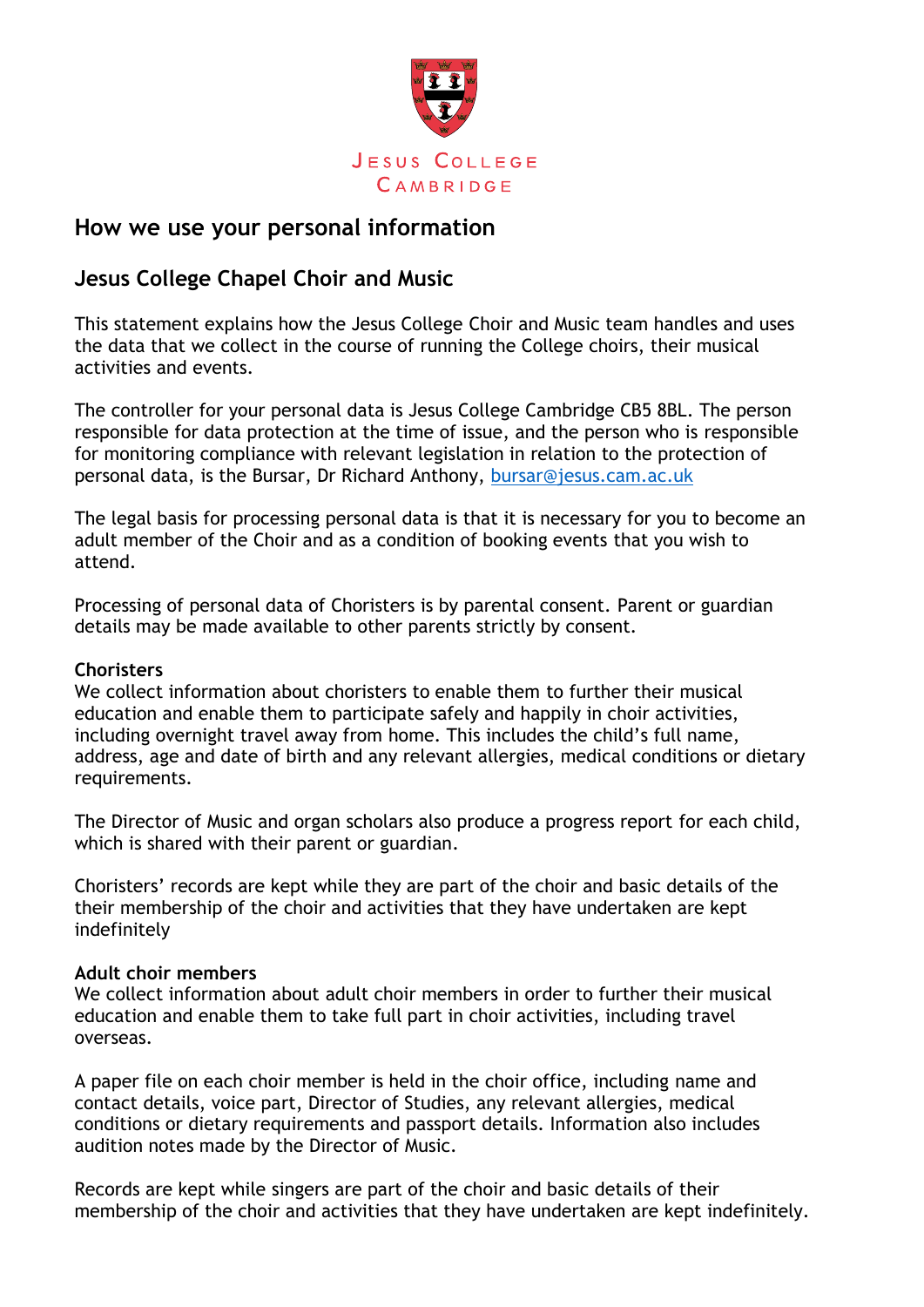

# **How we use your personal information**

# **Jesus College Chapel Choir and Music**

This statement explains how the Jesus College Choir and Music team handles and uses the data that we collect in the course of running the College choirs, their musical activities and events.

The controller for your personal data is Jesus College Cambridge CB5 8BL. The person responsible for data protection at the time of issue, and the person who is responsible for monitoring compliance with relevant legislation in relation to the protection of personal data, is the Bursar, Dr Richard Anthony, [bursar@jesus.cam.ac.uk](mailto:bursar@jesus.cam.ac.uk)

The legal basis for processing personal data is that it is necessary for you to become an adult member of the Choir and as a condition of booking events that you wish to attend.

Processing of personal data of Choristers is by parental consent. Parent or guardian details may be made available to other parents strictly by consent.

### **Choristers**

We collect information about choristers to enable them to further their musical education and enable them to participate safely and happily in choir activities, including overnight travel away from home. This includes the child's full name, address, age and date of birth and any relevant allergies, medical conditions or dietary requirements.

The Director of Music and organ scholars also produce a progress report for each child, which is shared with their parent or guardian.

Choristers' records are kept while they are part of the choir and basic details of the their membership of the choir and activities that they have undertaken are kept indefinitely

## **Adult choir members**

We collect information about adult choir members in order to further their musical education and enable them to take full part in choir activities, including travel overseas.

A paper file on each choir member is held in the choir office, including name and contact details, voice part, Director of Studies, any relevant allergies, medical conditions or dietary requirements and passport details. Information also includes audition notes made by the Director of Music.

Records are kept while singers are part of the choir and basic details of their membership of the choir and activities that they have undertaken are kept indefinitely.